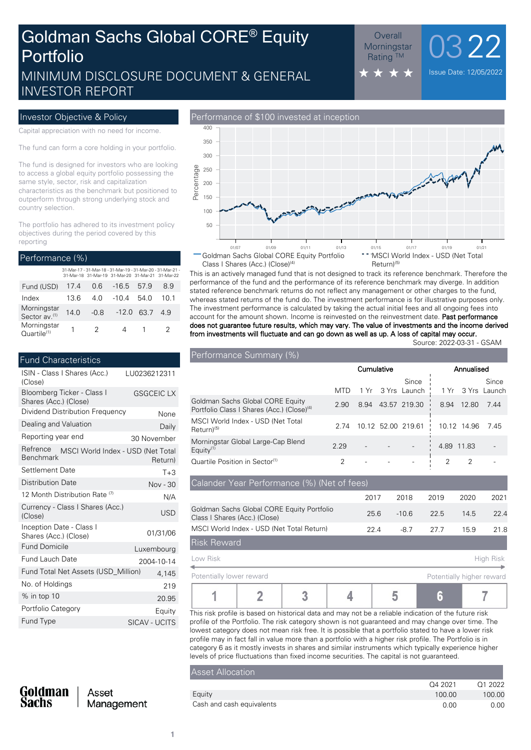## MINIMUM DISCLOSURE DOCUMENT & GENERAL  $\star \star \star \star$ INVESTOR REPORT Goldman Sachs Global CORE® Equity Portfolio

#### Overall<br><sub>priningstar</sub> 0322 **Morningstar Rating ™**

Capital appreciation with no need for income.

The fund can form a core holding in your portfolio.

The fund is designed for investors who are looking to access a global equity portfolio possessing the same style, sector, risk and capitalization characteristics as the benchmark but positioned to outperform through strong underlying stock and country selection.

The portfolio has adhered to its investment policy objectives during the period covered by this reporting

| Performance (%)                          |      |      |                                                                                                                  |        |      |  |  |
|------------------------------------------|------|------|------------------------------------------------------------------------------------------------------------------|--------|------|--|--|
|                                          |      |      | 31-Mar-17 - 31-Mar-18 - 31-Mar-19 - 31-Mar-20 - 31-Mar-21 -<br>31-Mar-18 31-Mar-19 31-Mar-20 31-Mar-21 31-Mar-22 |        |      |  |  |
| Fund (USD)                               | 17.4 | 0 6  | $-16.5$                                                                                                          | 57.9   | 89   |  |  |
| Index                                    | 13.6 | 4 O  | $-104$                                                                                                           | - 54 0 | 10 1 |  |  |
| Morningstar<br>Sector av. <sup>(1)</sup> | 140  | -0.8 | $-12.0$                                                                                                          | 63.7   | 49   |  |  |
| Morningstar<br>Quartile <sup>(1)</sup>   |      | 2    |                                                                                                                  |        | 2    |  |  |

| <b>Fund Characteristics</b>                                       |                      |
|-------------------------------------------------------------------|----------------------|
| ISIN - Class I Shares (Acc.)<br>(Close)                           | LU0236212311         |
| Bloomberg Ticker - Class I<br>Shares (Acc.) (Close)               | <b>GSGCEIC LX</b>    |
| Dividend Distribution Frequency                                   | None                 |
| Dealing and Valuation                                             | Daily                |
| Reporting year end                                                | 30 November          |
| Refrence<br>MSCI World Index - USD (Net Total<br><b>Benchmark</b> | Return)              |
| Settlement Date                                                   | $T + 3$              |
| <b>Distribution Date</b>                                          | Nov - 30             |
| 12 Month Distribution Rate <sup>(7)</sup>                         | N/A                  |
| Currency - Class I Shares (Acc.)<br>(Close)                       | <b>USD</b>           |
| Inception Date - Class I<br>Shares (Acc.) (Close)                 | 01/31/06             |
| <b>Fund Domicile</b>                                              | Luxembourg           |
| <b>Fund Lauch Date</b>                                            | 2004-10-14           |
| Fund Total Net Assets (USD Million)                               | 4,145                |
| No. of Holdings                                                   | 219                  |
| % in top 10                                                       | 20.95                |
| Portfolio Category                                                | Equity               |
| Fund Type                                                         | <b>SICAV - UCITS</b> |
|                                                                   |                      |



This is an actively managed fund that is not designed to track its reference benchmark. Therefore the performance of the fund and the performance of its reference benchmark may diverge. In addition stated reference benchmark returns do not reflect any management or other charges to the fund, whereas stated returns of the fund do. The investment performance is for illustrative purposes only. The investment performance is calculated by taking the actual initial fees and all ongoing fees into account for the amount shown. Income is reinvested on the reinvestment date. **Past performance does not guarantee future results, which may vary. The value of investments and the income derived from investments will fluctuate and can go down as well as up. A loss of capital may occur.**

Source: 2022-03-31 - GSAM

| Performance Summary (%)                                                                    |            |      |  |                            |            |             |                       |
|--------------------------------------------------------------------------------------------|------------|------|--|----------------------------|------------|-------------|-----------------------|
|                                                                                            | Cumulative |      |  |                            | Annualised |             |                       |
|                                                                                            | MTD        |      |  | Since<br>1 Yr 3 Yrs Launch | 1 Yr       |             | Since<br>3 Yrs Launch |
| Goldman Sachs Global CORE Equity<br>Portfolio Class   Shares (Acc.) (Close) <sup>(4)</sup> | 2.90       | 8.94 |  | 43.57 219.30               | 8.94       | 12.80       | 7.44                  |
| MSCI World Index - USD (Net Total<br>Return) <sup>(5)</sup>                                | 2.74       |      |  | 10.12 52.00 219.61         |            | 10.12 14.96 | 7.45                  |
| Morningstar Global Large-Cap Blend<br>Equity $(1)$                                         | 2.29       |      |  |                            | 4.89       | 11.83       |                       |
| Quartile Position in Sector <sup>(1)</sup>                                                 | 2          |      |  |                            |            | 2           |                       |

| Calander Year Performance (%) (Net of fees)                                 |      |         |      |                                                                      |           |
|-----------------------------------------------------------------------------|------|---------|------|----------------------------------------------------------------------|-----------|
|                                                                             | 2017 | 2018    | 2019 | 2020                                                                 | 2021      |
| Goldman Sachs Global CORE Equity Portfolio<br>Class I Shares (Acc.) (Close) | 25.6 | $-10.6$ | 22.5 | 14.5                                                                 | 22.4      |
| MSCI World Index - USD (Net Total Return)                                   | 22.4 | $-8.7$  | 27.7 | 15.9                                                                 | 21.8      |
| <b>Risk Reward</b>                                                          |      |         |      |                                                                      |           |
| Low Risk                                                                    |      |         |      |                                                                      | High Risk |
| Datastially lawser rayingsal                                                |      |         |      | The area was for the characteristic terms of the first second terms. |           |

| Potentially lower reward |                                                                                                         |  |  | Potentially higher reward |
|--------------------------|---------------------------------------------------------------------------------------------------------|--|--|---------------------------|
|                          |                                                                                                         |  |  |                           |
|                          | This siak peafils is boogle on bistorical data and possions to a reliable indication of the future viak |  |  |                           |

This risk profile is based on historical data and may not be a reliable indication of the future r profile of the Portfolio. The risk category shown is not guaranteed and may change over time. The lowest category does not mean risk free. It is possible that a portfolio stated to have a lower risk profile may in fact fall in value more than a portfolio with a higher risk profile. The Portfolio is in category 6 as it mostly invests in shares and similar instruments which typically experience higher levels of price fluctuations than fixed income securities. The capital is not guaranteed.

#### Asset Allocation

|                           | Q4 2021 | Q1 2022 |
|---------------------------|---------|---------|
| Eauity                    | 100.00  | 100.00  |
| Cash and cash equivalents | 0.00    | 0.00    |

Goldman<br>Sachs

Asset Management

**1**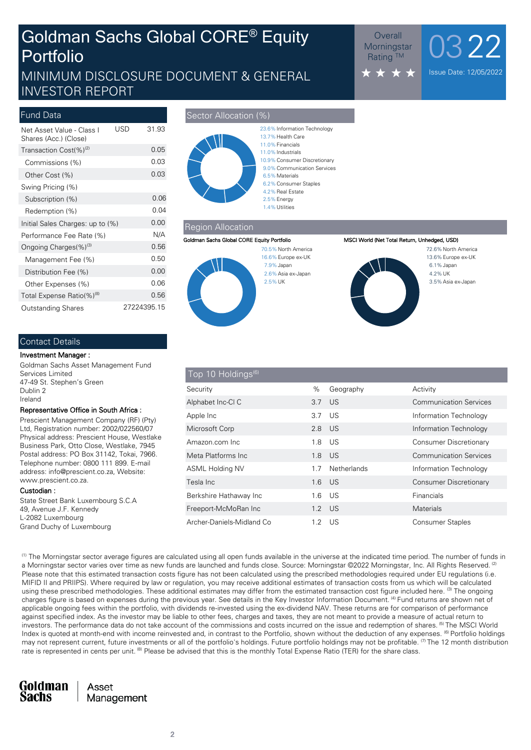# Goldman Sachs Global CORE® Equity Portfolio

## MINIMUM DISCLOSURE DOCUMENT & GENERAL INVESTOR REPORT

### Outstanding Shares 27224395.15 Total Expense Ratio(%)<sup>(8)</sup> 0.56 Other Expenses (%) 0.06 Distribution Fee (%) 0.00 Management Fee (%) 0.50 Ongoing Charges $(\%)^{(3)}$  0.56 Performance Fee Rate (%) N/A Initial Sales Charges: up to  $(\%)$  0.00 Redemption (%) 0.04 Subscription (%) 0.06 Swing Pricing (%) Other Cost (%) 0.03 Commissions (%) 0.03 Transaction  $Cost(\%)^{(2)}$  0.05 Net Asset Value - Class I USD 31.93 Shares (Acc.) (Close) Fund Data **Sector Allocation (%)** Sector Allocation (%)



#### Region Allocation



#### **Goldman Sachs Global CORE Equity Portfolio MSCI World (Net Total Return, Unhedged, USD)**



3.5%Asia ex-Japan 4.2%UK 6.1%Japan 13.6%Europe ex-UK 72.6% North America

Overall  $0322$ 

Issue Date: 12/05/2022

**Morningstar Rating ™** 

#### Contact Details

#### **Investment Manager :**

Goldman Sachs Asset Management Fund Services Limited 47-49 St. Stephen's Green Dublin 2 Ireland

#### **Representative Office in South Africa :**

Prescient Management Company (RF) (Pty) Ltd, Registration number: 2002/022560/07 Physical address: Prescient House, Westlake Business Park, Otto Close, Westlake, 7945 Postal address: PO Box 31142, Tokai, 7966. Telephone number: 0800 111 899. E-mail address: info@prescient.co.za, Website: www.prescient.co.za.

#### **Custodian :**

State Street Bank Luxembourg S.C.A 49, Avenue J.F. Kennedy L-2082 Luxembourg Grand Duchy of Luxembourg

## Top 10 Holdings<sup>(6</sup>) Archer-Daniels-Midland Co 1.2 US Consumer Staples Freeport-McMoRan Inc 1.2 US Materials Berkshire Hathaway Inc **1.6 US** Financials Tesla Inc 1.6 US Consumer Discretionary ASML Holding NV 1.7 Netherlands Information Technology Meta Platforms Inc **1.8 US** Communication Services Amazon.com Inc 1.8 US Consumer Discretionary Microsoft Corp 2.8 US Information Technology Apple Inc **3.7 US** Information Technology Alphabet Inc-Cl C 3.7 US Communication Services Security 600 MHz (Security 600 MHz 600 MHz 600 MHz 600 MHz 600 MHz 600 MHz 600 MHz 600 MHz 600 MHz 600 MHz 600 MHz 600 MHz 600 MHz 600 MHz 600 MHz 600 MHz 600 MHz 600 MHz 600 MHz 600 MHz 600 MHz 600 MHz 600 MHz 600 MHz 600

(1) The Morningstar sector average figures are calculated using all open funds available in the universe at the indicated time period. The number of funds in a Morningstar sector varies over time as new funds are launched and funds close. Source: Morningstar @2022 Morningstar, Inc. All Rights Reserved.<sup>[2</sup> Please note that this estimated transaction costs figure has not been calculated using the prescribed methodologies required under EU regulations (i.e. MIFID II and PRIIPS). Where required by law or regulation, you may receive additional estimates of transaction costs from us which will be calculated using these prescribed methodologies. These additional estimates may differ from the estimated transaction cost figure included here. <sup>(3)</sup> The ongoing charges figure is based on expenses during the previous year. See details in the Key Investor Information Document. (4) Fund returns are shown net of applicable ongoing fees within the portfolio, with dividends re-invested using the ex-dividend NAV. These returns are for comparison of performance against specified index. As the investor may be liable to other fees, charges and taxes, they are not meant to provide a measure of actual return to investors. The performance data do not take account of the commissions and costs incurred on the issue and redemption of shares. <sup>(5)</sup> The MSCI World Index is quoted at month-end with income reinvested and, in contrast to the Portfolio, shown without the deduction of any expenses. <sup>(6)</sup> Portfolio holdings may not represent current, future investments or all of the portfolio's holdings. Future portfolio holdings may not be profitable. <sup>(7)</sup> The 12 month distribution rate is represented in cents per unit. <sup>(8)</sup> Please be advised that this is the monthly Total Expense Ratio (TER) for the share class.

#### **Goldman** Asset **Sachs** Management

**2**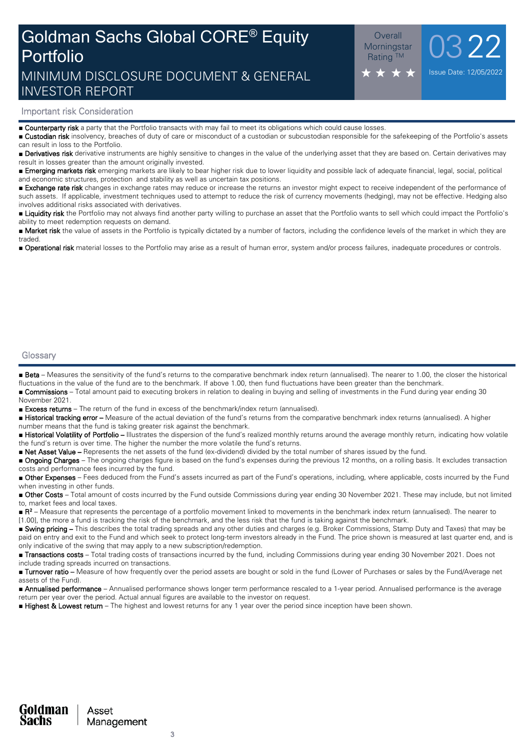## Goldman Sachs Global CORE® Equity Portfolio MINIMUM DISCLOSURE DOCUMENT & GENERAL INVESTOR REPORT

 $\frac{\text{Overall}}{\text{primary max}}$  0322

Issue Date: 12/05/2022

**Morningstar** Rating TM

### **Important risk Consideration**

■ **Counterparty risk** a party that the Portfolio transacts with may fail to meet its obligations which could cause losses.

■ **Custodian risk** insolvency, breaches of duty of care or misconduct of a custodian or subcustodian responsible for the safekeeping of the Portfolio's assets can result in loss to the Portfolio.

■ **Derivatives risk** derivative instruments are highly sensitive to changes in the value of the underlying asset that they are based on. Certain derivatives may result in losses greater than the amount originally invested.

■ **Emerging markets risk** emerging markets are likely to bear higher risk due to lower liquidity and possible lack of adequate financial, legal, social, political and economic structures, protection and stability as well as uncertain tax positions.

■ **Exchange rate risk** changes in exchange rates may reduce or increase the returns an investor might expect to receive independent of the performance of such assets. If applicable, investment techniques used to attempt to reduce the risk of currency movements (hedging), may not be effective. Hedging also involves additional risks associated with derivatives.

■ Liquidity risk the Portfolio may not always find another party willing to purchase an asset that the Portfolio wants to sell which could impact the Portfolio's ability to meet redemption requests on demand.

■ Market risk the value of assets in the Portfolio is typically dictated by a number of factors, including the confidence levels of the market in which they are traded.

■ **Operational risk** material losses to the Portfolio may arise as a result of human error, system and/or process failures, inadequate procedures or controls.

#### **Glossary**

■ Beta – Measures the sensitivity of the fund's returns to the comparative benchmark index return (annualised). The nearer to 1.00, the closer the historical fluctuations in the value of the fund are to the benchmark. If above 1.00, then fund fluctuations have been greater than the benchmark.

■ **Commissions** – Total amount paid to executing brokers in relation to dealing in buying and selling of investments in the Fund during year ending 30 November 2021.

■ **Excess returns** – The return of the fund in excess of the benchmark/index return (annualised).

■ **Historical tracking error –** Measure of the actual deviation of the fund's returns from the comparative benchmark index returns (annualised). A higher number means that the fund is taking greater risk against the benchmark.

■ Historical Volatility of Portfolio – Illustrates the dispersion of the fund's realized monthly returns around the average monthly return, indicating how volatile the fund's return is over time. The higher the number the more volatile the fund's returns.

■ **Net Asset Value –** Represents the net assets of the fund (ex-dividend) divided by the total number of shares issued by the fund.

■ **Ongoing Charges** – The ongoing charges figure is based on the fund's expenses during the previous 12 months, on a rolling basis. It excludes transaction costs and performance fees incurred by the fund.

■ Other Expenses – Fees deduced from the Fund's assets incurred as part of the Fund's operations, including, where applicable, costs incurred by the Fund when investing in other funds.

■ Other Costs – Total amount of costs incurred by the Fund outside Commissions during year ending 30 November 2021. These may include, but not limited to, market fees and local taxes.

■ **R**<sup>2</sup> – Measure that represents the percentage of a portfolio movement linked to movements in the benchmark index return (annualised). The nearer to [1.00], the more a fund is tracking the risk of the benchmark, and the less risk that the fund is taking against the benchmark.

■ Swing pricing – This describes the total trading spreads and any other duties and charges (e.g. Broker Commissions, Stamp Duty and Taxes) that may be paid on entry and exit to the Fund and which seek to protect long-term investors already in the Fund. The price shown is measured at last quarter end, and is only indicative of the swing that may apply to a new subscription/redemption.

■ **Transactions costs** – Total trading costs of transactions incurred by the fund, including Commissions during year ending 30 November 2021. Does not include trading spreads incurred on transactions.

■ **Turnover ratio** – Measure of how frequently over the period assets are bought or sold in the fund (Lower of Purchases or sales by the Fund/Average net assets of the Fund).

■ **Annualised performance** – Annualised performance shows longer term performance rescaled to a 1-year period. Annualised performance is the average return per year over the period. Actual annual figures are available to the investor on request.

■ **Highest & Lowest return** – The highest and lowest returns for any 1 year over the period since inception have been shown.